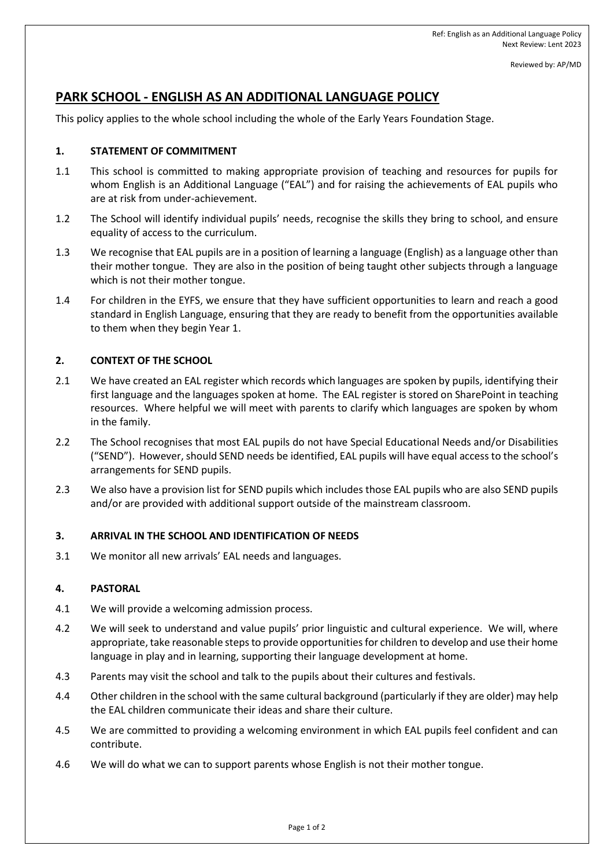Reviewed by: AP/MD

# **PARK SCHOOL - ENGLISH AS AN ADDITIONAL LANGUAGE POLICY**

This policy applies to the whole school including the whole of the Early Years Foundation Stage.

# **1. STATEMENT OF COMMITMENT**

- 1.1 This school is committed to making appropriate provision of teaching and resources for pupils for whom English is an Additional Language ("EAL") and for raising the achievements of EAL pupils who are at risk from under-achievement.
- 1.2 The School will identify individual pupils' needs, recognise the skills they bring to school, and ensure equality of access to the curriculum.
- 1.3 We recognise that EAL pupils are in a position of learning a language (English) as a language other than their mother tongue. They are also in the position of being taught other subjects through a language which is not their mother tongue.
- 1.4 For children in the EYFS, we ensure that they have sufficient opportunities to learn and reach a good standard in English Language, ensuring that they are ready to benefit from the opportunities available to them when they begin Year 1.

# **2. CONTEXT OF THE SCHOOL**

- 2.1 We have created an EAL register which records which languages are spoken by pupils, identifying their first language and the languages spoken at home. The EAL register is stored on SharePoint in teaching resources. Where helpful we will meet with parents to clarify which languages are spoken by whom in the family.
- 2.2 The School recognises that most EAL pupils do not have Special Educational Needs and/or Disabilities ("SEND"). However, should SEND needs be identified, EAL pupils will have equal access to the school's arrangements for SEND pupils.
- 2.3 We also have a provision list for SEND pupils which includes those EAL pupils who are also SEND pupils and/or are provided with additional support outside of the mainstream classroom.

### **3. ARRIVAL IN THE SCHOOL AND IDENTIFICATION OF NEEDS**

3.1 We monitor all new arrivals' EAL needs and languages.

### **4. PASTORAL**

- 4.1 We will provide a welcoming admission process.
- 4.2 We will seek to understand and value pupils' prior linguistic and cultural experience. We will, where appropriate, take reasonable steps to provide opportunities for children to develop and use their home language in play and in learning, supporting their language development at home.
- 4.3 Parents may visit the school and talk to the pupils about their cultures and festivals.
- 4.4 Other children in the school with the same cultural background (particularly if they are older) may help the EAL children communicate their ideas and share their culture.
- 4.5 We are committed to providing a welcoming environment in which EAL pupils feel confident and can contribute.
- 4.6 We will do what we can to support parents whose English is not their mother tongue.